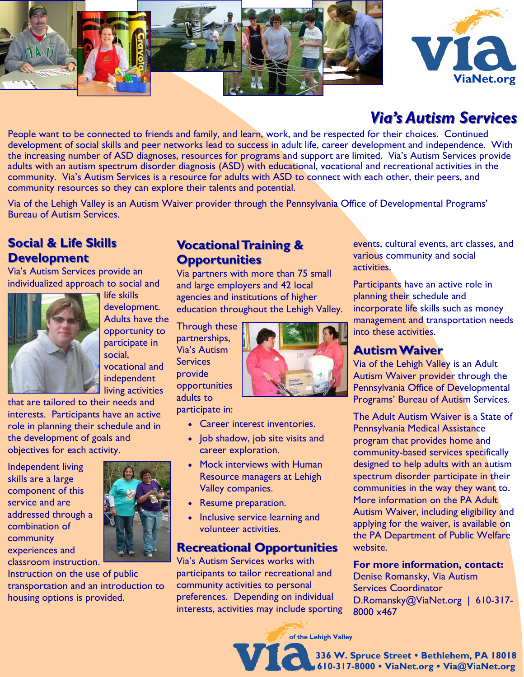



# *Via's Autism Services Via's Autism Services*

People want to be connected to friends and family, and learn, work, and be respected for their choices. Continued development of social skills and peer networks lead to success in adult life, career development and independence. With the increasing number of ASD diagnoses, resources for programs and support are limited. Via's Autism Services provide adults with an autism spectrum disorder diagnosis (ASD) with educational, vocational and recreational activities in the community. Via's Autism Services is a resource for adults with ASD to connect with each other, their peers, and community resources so they can explore their talents and potential.

Via of the Lehigh Valley is an Autism Waiver provider through the Pennsylvania Office of Developmental Programs' Bureau of Autism Services.

## **Social & Life Skills Development Development**

Via's Autism Services provide an individualized approach to social and



life skills development. Adults have the opportunity to participate in social, vocational and independent living activities

that are tailored to their needs and interests. Participants have an active role in planning their schedule and in the development of goals and objectives for each activity.

Independent living skills are a large component of this service and are addressed through a combination of community experiences and classroom instruction.



Instruction on the use of public transportation and an introduction to housing options is provided.

### **Vocational Training & Opportunities Opportunities**

Via partners with more than 75 small and large employers and 42 local agencies and institutions of higher education throughout the Lehigh Valley.

Through these partnerships, Via's Autism **Services** provide opportunities adults to

participate in:

- Career interest inventories.
- Job shadow, job site visits and career exploration.
- Mock interviews with Human Resource managers at Lehigh Valley companies.
- Resume preparation.
- Inclusive service learning and volunteer activities.

#### **Recreational Opportunities Recreational Opportunities**

Via's Autism Services works with participants to tailor recreational and community activities to personal preferences. Depending on individual interests, activities may include sporting

events, cultural events, art classes, and various community and social activities.

Participants have an active role in planning their schedule and incorporate life skills such as money management and transportation needs into these activities.

#### **Autism Waiver Autism Waiver**

Via of the Lehigh Valley is an Adult Autism Waiver provider through the Pennsylvania Office of Developmental Programs' Bureau of Autism Services.

The Adult Autism Waiver is a State of Pennsylvania Medical Assistance program that provides home and community-based services specifically designed to help adults with an autism spectrum disorder participate in their communities in the way they want to. More information on the PA Adult Autism Waiver, including eligibility and applying for the waiver, is available on the PA Department of Public Welfare website.

**For more information, contact:** 

Denise Romansky, Via Autism Services Coordinator D.Romansky@ViaNet.org | 610-317-8000 x467

**of the Lehigh Valley** 

**336 W. Spruce Street Bethlehem, PA 18018 610-317-8000 ViaNet.org Via@ViaNet.org**